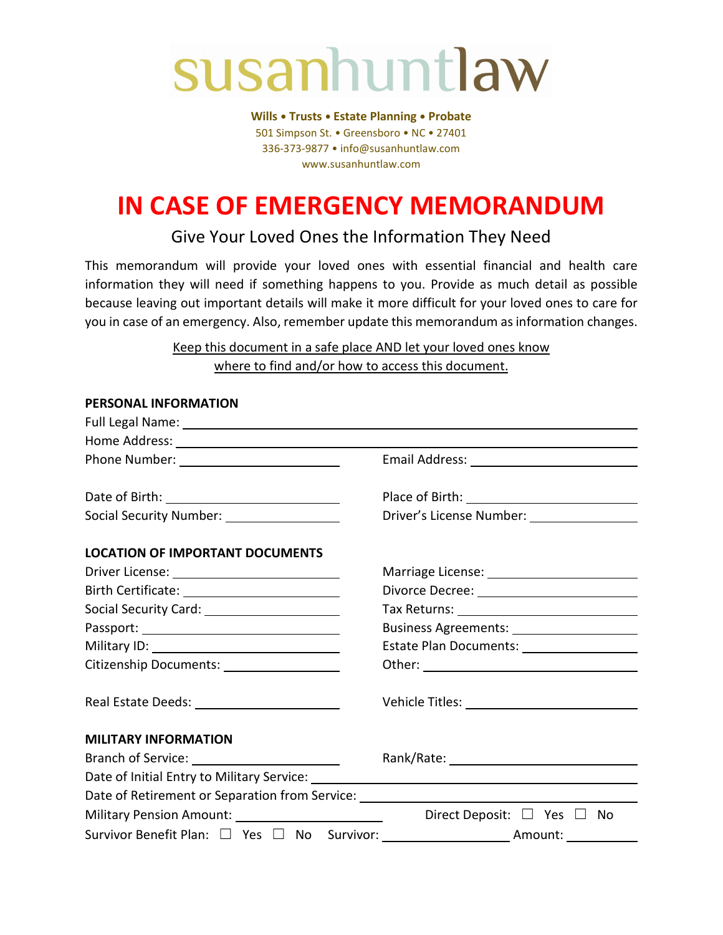# susanhuntlaw

**Wills • Trusts • Estate Planning • Probate** 501 Simpson St. • Greensboro • NC • 27401 336-373-9877 • info@susanhuntlaw.com www.susanhuntlaw.com

# **IN CASE OF EMERGENCY MEMORANDUM**

# Give Your Loved Ones the Information They Need

This memorandum will provide your loved ones with essential financial and health care information they will need if something happens to you. Provide as much detail as possible because leaving out important details will make it more difficult for your loved ones to care for you in case of an emergency. Also, remember update this memorandum as information changes.

> Keep this document in a safe place AND let your loved ones know where to find and/or how to access this document.

| Social Security Number: ______________________                                   | Driver's License Number: _________________ |
|----------------------------------------------------------------------------------|--------------------------------------------|
| <b>LOCATION OF IMPORTANT DOCUMENTS</b>                                           |                                            |
|                                                                                  |                                            |
|                                                                                  |                                            |
|                                                                                  |                                            |
|                                                                                  | Business Agreements: _____________________ |
|                                                                                  | Estate Plan Documents: __________________  |
| Citizenship Documents: ____________________                                      |                                            |
|                                                                                  |                                            |
| <b>MILITARY INFORMATION</b>                                                      |                                            |
|                                                                                  |                                            |
|                                                                                  |                                            |
| Date of Retirement or Separation from Service: _________________________________ |                                            |
|                                                                                  | Direct Deposit: □ Yes □ No                 |
|                                                                                  |                                            |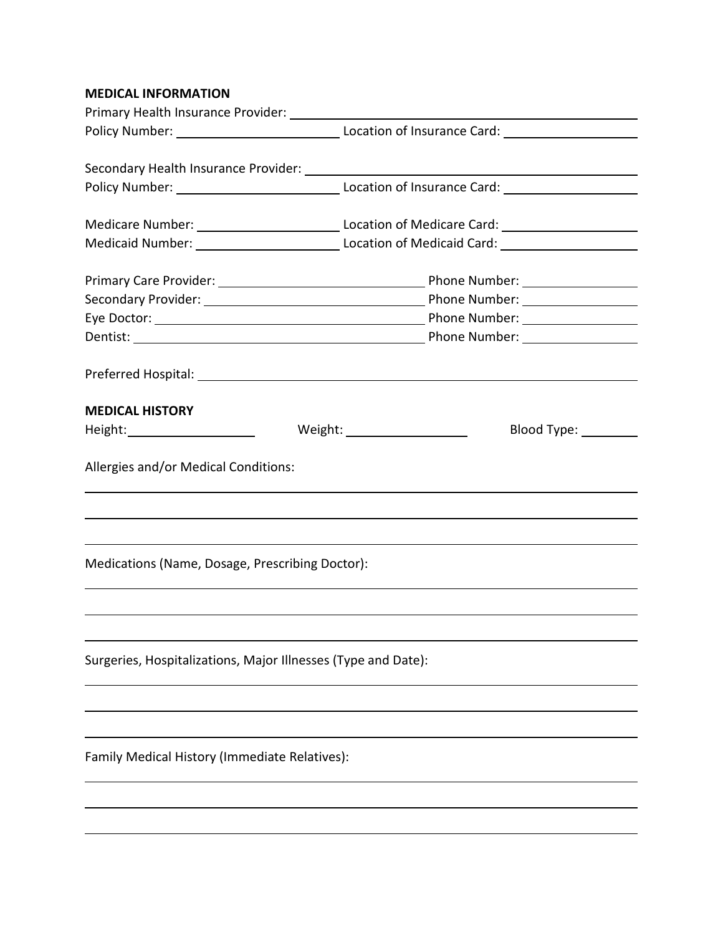## **MEDICAL INFORMATION**

|                                                                                                               | Medicare Number: ___________________________________Location of Medicare Card: _____________________ |  |
|---------------------------------------------------------------------------------------------------------------|------------------------------------------------------------------------------------------------------|--|
|                                                                                                               |                                                                                                      |  |
|                                                                                                               |                                                                                                      |  |
|                                                                                                               |                                                                                                      |  |
|                                                                                                               |                                                                                                      |  |
|                                                                                                               |                                                                                                      |  |
|                                                                                                               |                                                                                                      |  |
| Preferred Hospital: Note and the set of the set of the set of the set of the set of the set of the set of the |                                                                                                      |  |
|                                                                                                               |                                                                                                      |  |
| <b>MEDICAL HISTORY</b>                                                                                        |                                                                                                      |  |
|                                                                                                               | Weight: Weight:<br>Blood Type: _________                                                             |  |
|                                                                                                               |                                                                                                      |  |
| Allergies and/or Medical Conditions:                                                                          |                                                                                                      |  |
|                                                                                                               |                                                                                                      |  |
|                                                                                                               |                                                                                                      |  |
|                                                                                                               |                                                                                                      |  |
| Medications (Name, Dosage, Prescribing Doctor):                                                               |                                                                                                      |  |
|                                                                                                               |                                                                                                      |  |
|                                                                                                               |                                                                                                      |  |
|                                                                                                               |                                                                                                      |  |
| Surgeries, Hospitalizations, Major Illnesses (Type and Date):                                                 |                                                                                                      |  |
|                                                                                                               |                                                                                                      |  |
|                                                                                                               |                                                                                                      |  |
|                                                                                                               |                                                                                                      |  |
| Family Medical History (Immediate Relatives):                                                                 |                                                                                                      |  |
|                                                                                                               |                                                                                                      |  |
|                                                                                                               |                                                                                                      |  |
|                                                                                                               |                                                                                                      |  |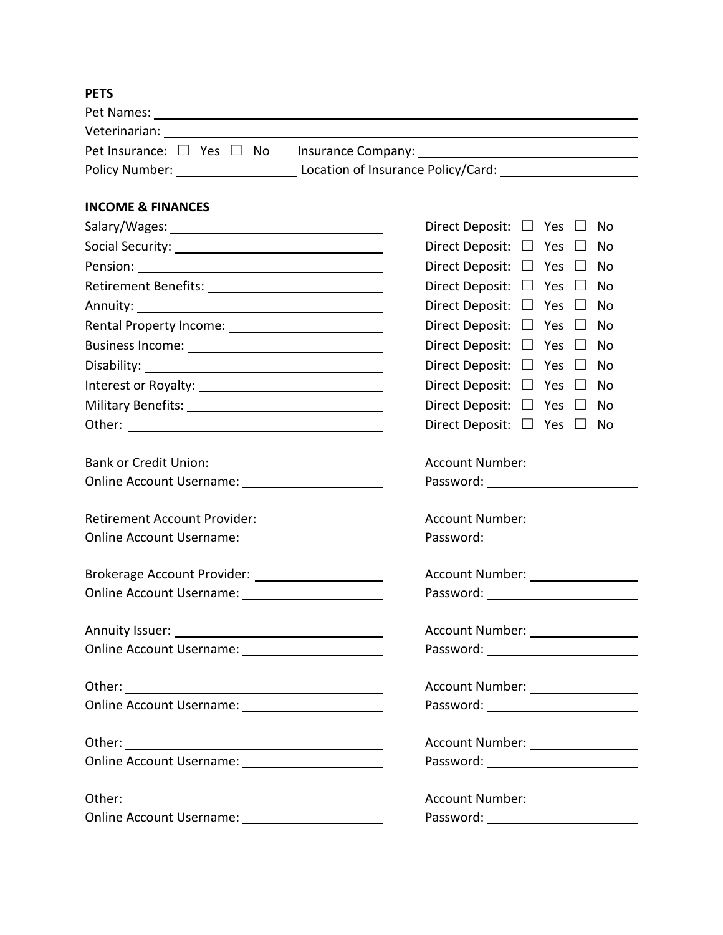# **PETS**

|                                                   | Pet Insurance: $\Box$ Yes $\Box$ No Insurance Company: ______________________________ |  |  |
|---------------------------------------------------|---------------------------------------------------------------------------------------|--|--|
|                                                   |                                                                                       |  |  |
| <b>INCOME &amp; FINANCES</b>                      |                                                                                       |  |  |
|                                                   | Direct Deposit: $\Box$ Yes $\Box$<br>No.                                              |  |  |
|                                                   | Direct Deposit: $\Box$ Yes $\Box$<br>No                                               |  |  |
|                                                   | Direct Deposit: $\Box$ Yes $\Box$<br>No                                               |  |  |
|                                                   | Direct Deposit: $\Box$ Yes $\Box$<br>No                                               |  |  |
|                                                   | Direct Deposit: $\Box$ Yes $\Box$<br>No                                               |  |  |
|                                                   | Direct Deposit: $\Box$ Yes $\Box$<br>No                                               |  |  |
|                                                   | Direct Deposit: $\square$ Yes $\square$<br>No                                         |  |  |
|                                                   | Direct Deposit: $\Box$ Yes $\Box$<br>No                                               |  |  |
|                                                   | Direct Deposit: $\Box$ Yes $\Box$<br>No                                               |  |  |
|                                                   | Direct Deposit: $\Box$ Yes $\Box$<br>No                                               |  |  |
|                                                   | Direct Deposit: $\Box$ Yes $\Box$<br>No                                               |  |  |
|                                                   | Account Number: _________________                                                     |  |  |
|                                                   |                                                                                       |  |  |
| Retirement Account Provider: __________________   | Account Number: _________________                                                     |  |  |
|                                                   |                                                                                       |  |  |
| Brokerage Account Provider: _____________________ |                                                                                       |  |  |
|                                                   |                                                                                       |  |  |
| Annuity Issuer: National Annuity Issuer:          | Account Number: _________________                                                     |  |  |
|                                                   | Password: __________________________                                                  |  |  |
|                                                   |                                                                                       |  |  |
|                                                   | Password: _________________________                                                   |  |  |
|                                                   | Account Number: ________________                                                      |  |  |
|                                                   | Password: __________________________                                                  |  |  |
|                                                   | Account Number: _________________                                                     |  |  |
|                                                   | Password: ___________________________                                                 |  |  |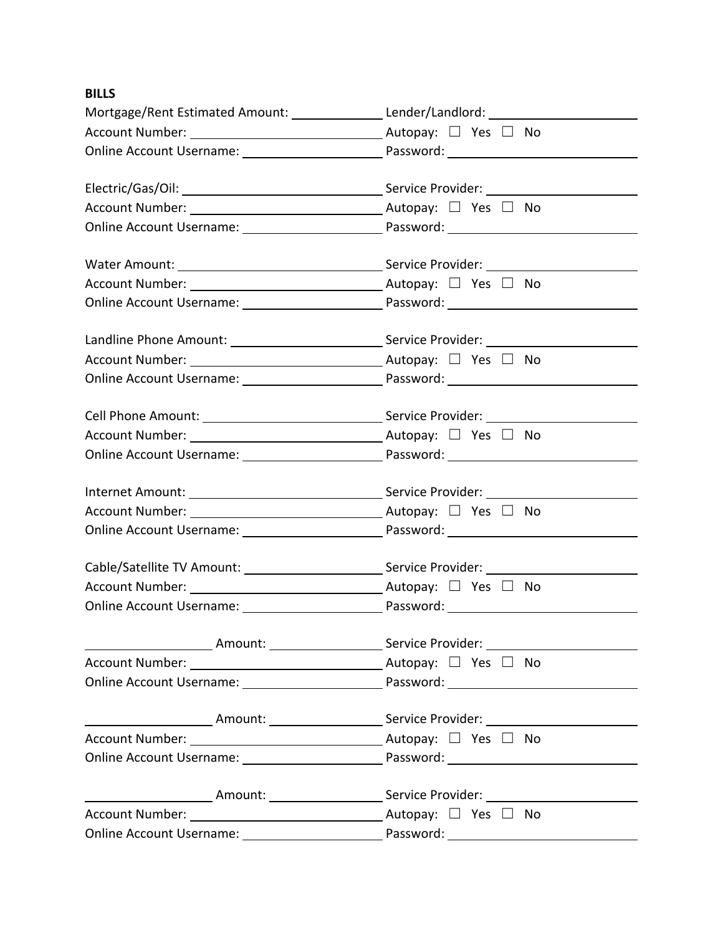# **BILLS**

| Mortgage/Rent Estimated Amount: Lender/Landlord: Lender/Landlord:                                   |                                                                                                           |
|-----------------------------------------------------------------------------------------------------|-----------------------------------------------------------------------------------------------------------|
|                                                                                                     |                                                                                                           |
|                                                                                                     |                                                                                                           |
|                                                                                                     |                                                                                                           |
|                                                                                                     |                                                                                                           |
|                                                                                                     |                                                                                                           |
|                                                                                                     |                                                                                                           |
|                                                                                                     |                                                                                                           |
|                                                                                                     |                                                                                                           |
|                                                                                                     | Landline Phone Amount: Service Provider: Canadine Phone Amount:                                           |
|                                                                                                     |                                                                                                           |
|                                                                                                     |                                                                                                           |
|                                                                                                     |                                                                                                           |
|                                                                                                     |                                                                                                           |
|                                                                                                     |                                                                                                           |
|                                                                                                     |                                                                                                           |
|                                                                                                     |                                                                                                           |
|                                                                                                     |                                                                                                           |
| Cable/Satellite TV Amount: ________________________________Service Provider: ______________________ |                                                                                                           |
|                                                                                                     |                                                                                                           |
|                                                                                                     |                                                                                                           |
|                                                                                                     | ___________________________Amount: ______________________Service Provider: _________________________      |
|                                                                                                     |                                                                                                           |
|                                                                                                     |                                                                                                           |
|                                                                                                     | ____________________________Amount: _______________________Service Provider: ____________________________ |
|                                                                                                     |                                                                                                           |
|                                                                                                     |                                                                                                           |
|                                                                                                     | ____________________________Amount: _______________________Service Provider: ____________________________ |
|                                                                                                     |                                                                                                           |
|                                                                                                     |                                                                                                           |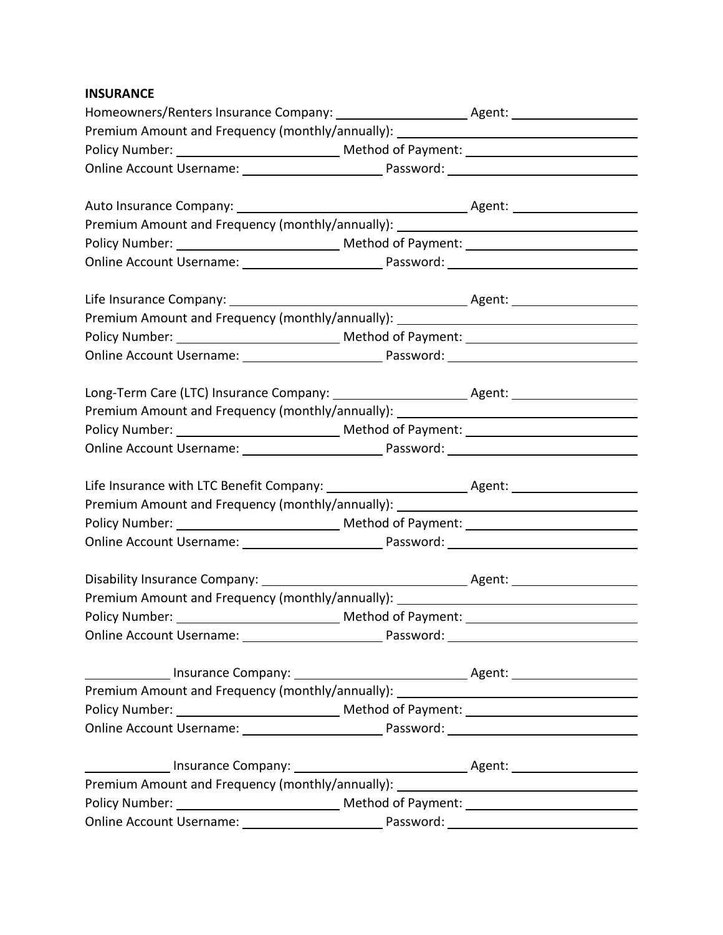# **INSURANCE**

| Premium Amount and Frequency (monthly/annually): _______________________________ |  |
|----------------------------------------------------------------------------------|--|
|                                                                                  |  |
|                                                                                  |  |
|                                                                                  |  |
|                                                                                  |  |
| Premium Amount and Frequency (monthly/annually): _______________________________ |  |
|                                                                                  |  |
|                                                                                  |  |
|                                                                                  |  |
|                                                                                  |  |
| Premium Amount and Frequency (monthly/annually): _______________________________ |  |
|                                                                                  |  |
|                                                                                  |  |
|                                                                                  |  |
|                                                                                  |  |
| Premium Amount and Frequency (monthly/annually): _______________________________ |  |
|                                                                                  |  |
|                                                                                  |  |
|                                                                                  |  |
|                                                                                  |  |
| Premium Amount and Frequency (monthly/annually): _______________________________ |  |
|                                                                                  |  |
|                                                                                  |  |
|                                                                                  |  |
| Premium Amount and Frequency (monthly/annually): _______________________________ |  |
|                                                                                  |  |
|                                                                                  |  |
|                                                                                  |  |
|                                                                                  |  |
| Premium Amount and Frequency (monthly/annually): _______________________________ |  |
|                                                                                  |  |
|                                                                                  |  |
|                                                                                  |  |
|                                                                                  |  |
| Premium Amount and Frequency (monthly/annually): _______________________________ |  |
|                                                                                  |  |
|                                                                                  |  |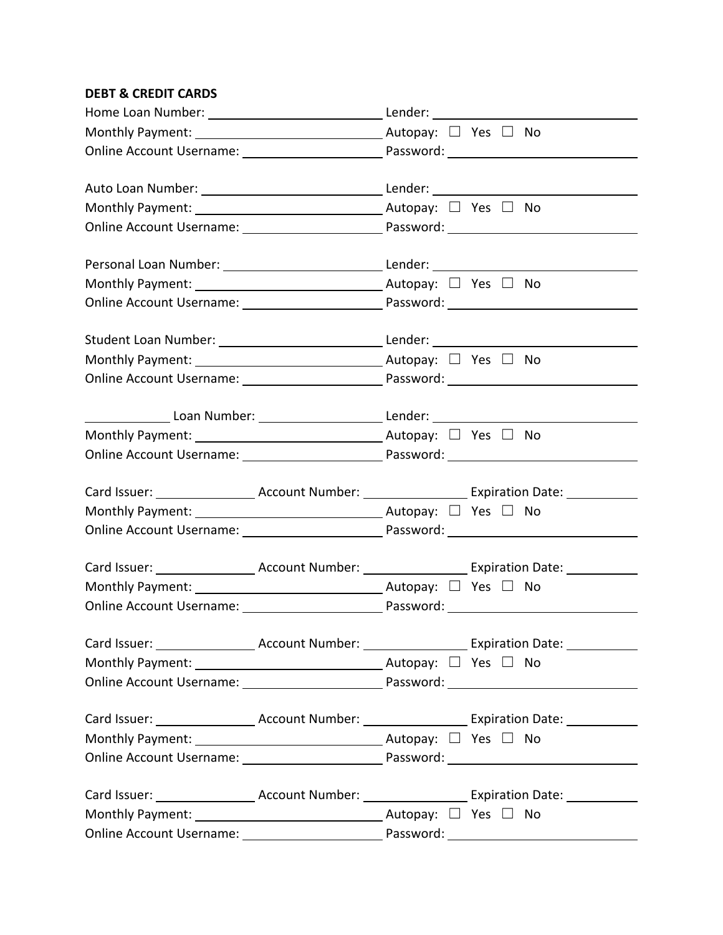# **DEBT & CREDIT CARDS**

| Monthly Payment: $\_\_\_\_\_\_\_$ Autopay: $\_\_\$ Yes $\_\_\_\$ No              |  |  |  |  |  |
|----------------------------------------------------------------------------------|--|--|--|--|--|
|                                                                                  |  |  |  |  |  |
|                                                                                  |  |  |  |  |  |
| Monthly Payment: $\_\_\_\_\_\_\_\_\_$ Autopay: $\_\_\_\$ Yes $\_\_\_\$ No        |  |  |  |  |  |
|                                                                                  |  |  |  |  |  |
| Personal Loan Number: _________________________________Lender: _________________ |  |  |  |  |  |
| Monthly Payment: $\_\_\_\_\_\_\_$ Monthly Payment:                               |  |  |  |  |  |
|                                                                                  |  |  |  |  |  |
| Student Loan Number: _________________________________Lender: __________________ |  |  |  |  |  |
| Monthly Payment: $\_\_\_\_\_\_\_\_$ Autopay: $\_\_\$ Yes $\_\_\_\$ No            |  |  |  |  |  |
|                                                                                  |  |  |  |  |  |
|                                                                                  |  |  |  |  |  |
| Monthly Payment: $\_\_\_\_\_\_\_\_$ Autopay: $\_\_\_\$ Yes $\_\_\_\$ No          |  |  |  |  |  |
|                                                                                  |  |  |  |  |  |
|                                                                                  |  |  |  |  |  |
|                                                                                  |  |  |  |  |  |
|                                                                                  |  |  |  |  |  |
|                                                                                  |  |  |  |  |  |
| Monthly Payment: $\_\_\_\_\_\_\_$ Monthly Payment:                               |  |  |  |  |  |
|                                                                                  |  |  |  |  |  |
|                                                                                  |  |  |  |  |  |
|                                                                                  |  |  |  |  |  |
|                                                                                  |  |  |  |  |  |
|                                                                                  |  |  |  |  |  |
|                                                                                  |  |  |  |  |  |
|                                                                                  |  |  |  |  |  |
|                                                                                  |  |  |  |  |  |
|                                                                                  |  |  |  |  |  |
|                                                                                  |  |  |  |  |  |
|                                                                                  |  |  |  |  |  |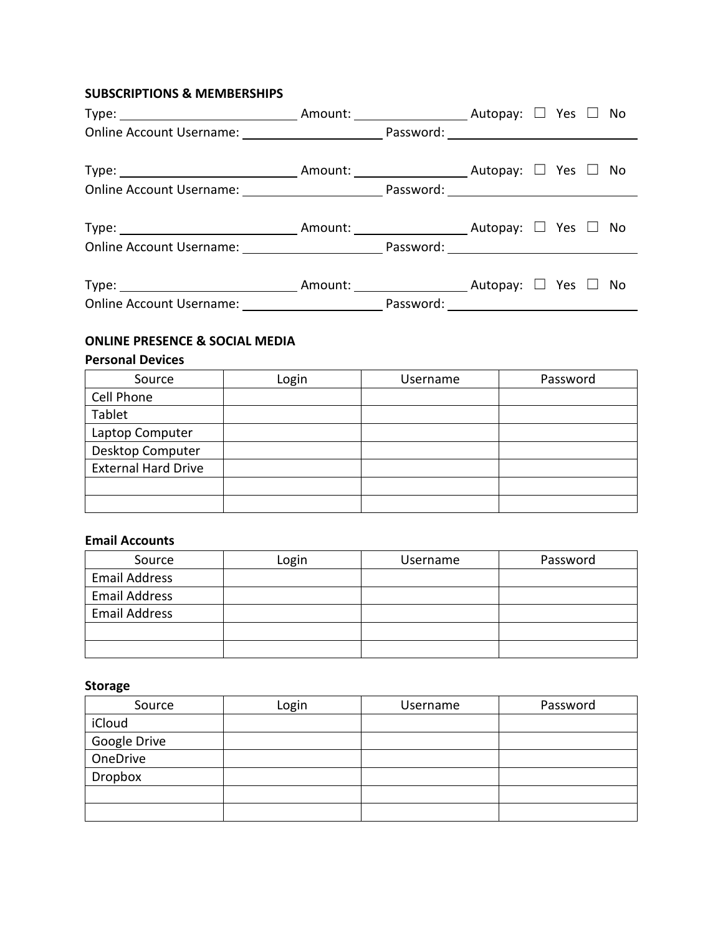# **SUBSCRIPTIONS & MEMBERSHIPS**

| $Type:$ $\Box$ No |  |  |  |  |
|-------------------|--|--|--|--|
|                   |  |  |  |  |
| $Type:$ $\Box$ No |  |  |  |  |
|                   |  |  |  |  |

# **ONLINE PRESENCE & SOCIAL MEDIA**

#### **Personal Devices**

| Source                     | Login | Username | Password |
|----------------------------|-------|----------|----------|
| Cell Phone                 |       |          |          |
| Tablet                     |       |          |          |
| Laptop Computer            |       |          |          |
| Desktop Computer           |       |          |          |
| <b>External Hard Drive</b> |       |          |          |
|                            |       |          |          |
|                            |       |          |          |

#### **Email Accounts**

| Source               | Login | Username | Password |
|----------------------|-------|----------|----------|
| <b>Email Address</b> |       |          |          |
| <b>Email Address</b> |       |          |          |
| <b>Email Address</b> |       |          |          |
|                      |       |          |          |
|                      |       |          |          |

# **Storage**

| Source       | Login | Username | Password |
|--------------|-------|----------|----------|
| iCloud       |       |          |          |
| Google Drive |       |          |          |
| OneDrive     |       |          |          |
| Dropbox      |       |          |          |
|              |       |          |          |
|              |       |          |          |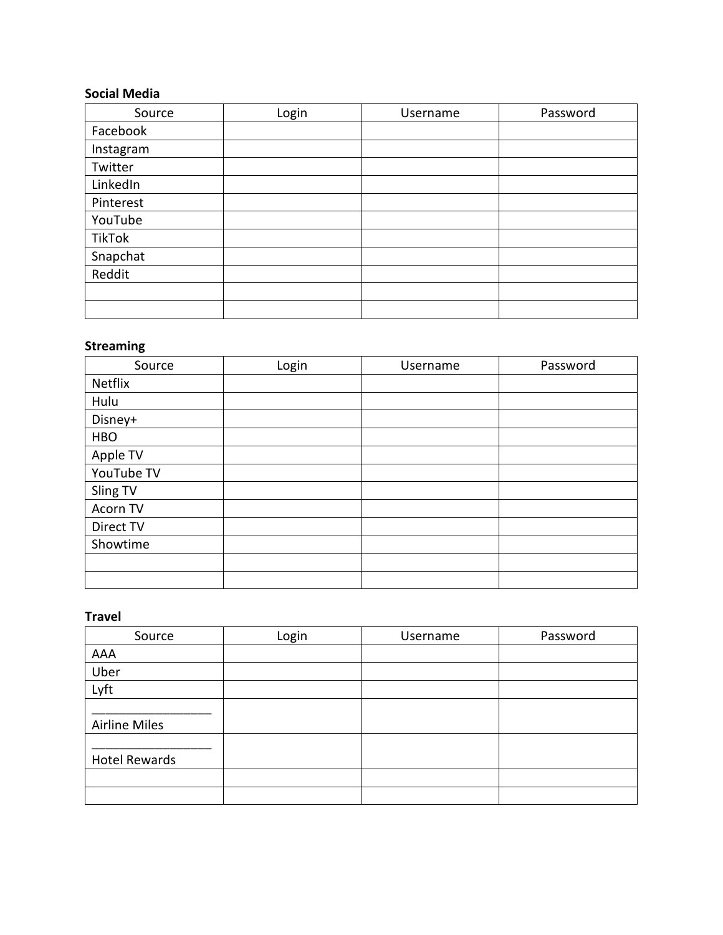# **Social Media**

| Source        | Login | Username | Password |
|---------------|-------|----------|----------|
| Facebook      |       |          |          |
| Instagram     |       |          |          |
| Twitter       |       |          |          |
| LinkedIn      |       |          |          |
| Pinterest     |       |          |          |
| YouTube       |       |          |          |
| <b>TikTok</b> |       |          |          |
| Snapchat      |       |          |          |
| Reddit        |       |          |          |
|               |       |          |          |
|               |       |          |          |

## **Streaming**

| Source     | Login | Username | Password |
|------------|-------|----------|----------|
| Netflix    |       |          |          |
| Hulu       |       |          |          |
| Disney+    |       |          |          |
| <b>HBO</b> |       |          |          |
| Apple TV   |       |          |          |
| YouTube TV |       |          |          |
| Sling TV   |       |          |          |
| Acorn TV   |       |          |          |
| Direct TV  |       |          |          |
| Showtime   |       |          |          |
|            |       |          |          |
|            |       |          |          |

#### **Travel**

| Source               | Login | Username | Password |
|----------------------|-------|----------|----------|
| AAA                  |       |          |          |
| Uber                 |       |          |          |
| Lyft                 |       |          |          |
| <b>Airline Miles</b> |       |          |          |
| <b>Hotel Rewards</b> |       |          |          |
|                      |       |          |          |
|                      |       |          |          |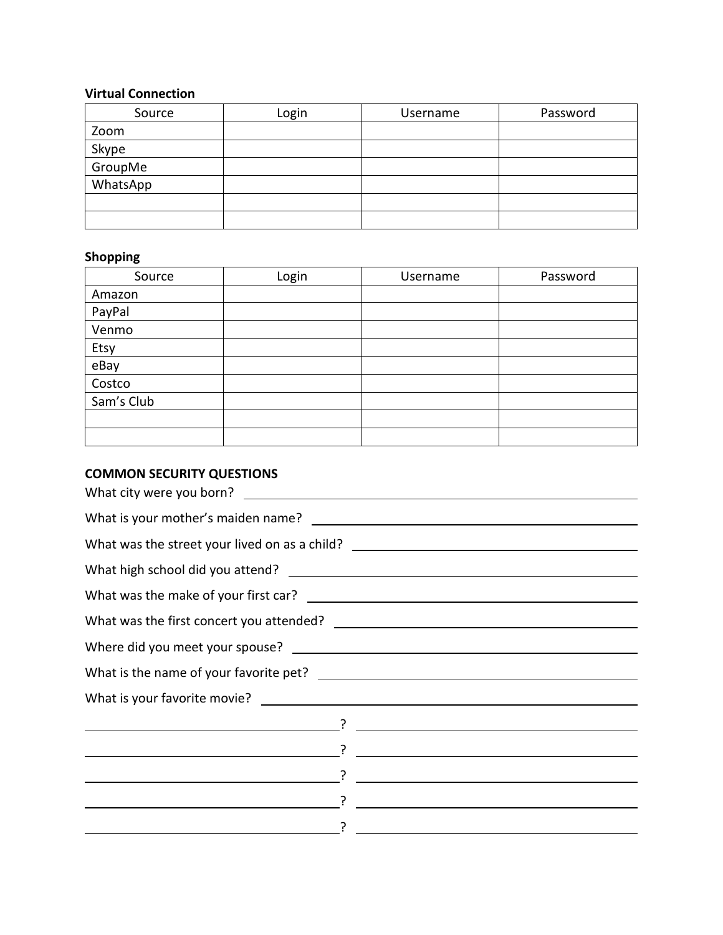# **Virtual Connection**

| Source   | Login | Username | Password |
|----------|-------|----------|----------|
| Zoom     |       |          |          |
| Skype    |       |          |          |
| GroupMe  |       |          |          |
| WhatsApp |       |          |          |
|          |       |          |          |
|          |       |          |          |

# **Shopping**

| Source     | Login | Username | Password |
|------------|-------|----------|----------|
| Amazon     |       |          |          |
| PayPal     |       |          |          |
| Venmo      |       |          |          |
| Etsy       |       |          |          |
| eBay       |       |          |          |
| Costco     |       |          |          |
| Sam's Club |       |          |          |
|            |       |          |          |
|            |       |          |          |

# **COMMON SECURITY QUESTIONS**

| What was the street your lived on as a child? __________________________________                                      |                                                                                                                                                                                                                                      |
|-----------------------------------------------------------------------------------------------------------------------|--------------------------------------------------------------------------------------------------------------------------------------------------------------------------------------------------------------------------------------|
|                                                                                                                       |                                                                                                                                                                                                                                      |
|                                                                                                                       |                                                                                                                                                                                                                                      |
|                                                                                                                       |                                                                                                                                                                                                                                      |
|                                                                                                                       |                                                                                                                                                                                                                                      |
|                                                                                                                       |                                                                                                                                                                                                                                      |
|                                                                                                                       |                                                                                                                                                                                                                                      |
|                                                                                                                       |                                                                                                                                                                                                                                      |
| $\overline{\phantom{a}}$                                                                                              |                                                                                                                                                                                                                                      |
| <u>resultation of the contract of the contract of the contract of the contract of the contract of the contract of</u> |                                                                                                                                                                                                                                      |
|                                                                                                                       | <u>in the contract of the contract of the contract of the contract of the contract of the contract of the contract of the contract of the contract of the contract of the contract of the contract of the contract of the contra</u> |
|                                                                                                                       |                                                                                                                                                                                                                                      |